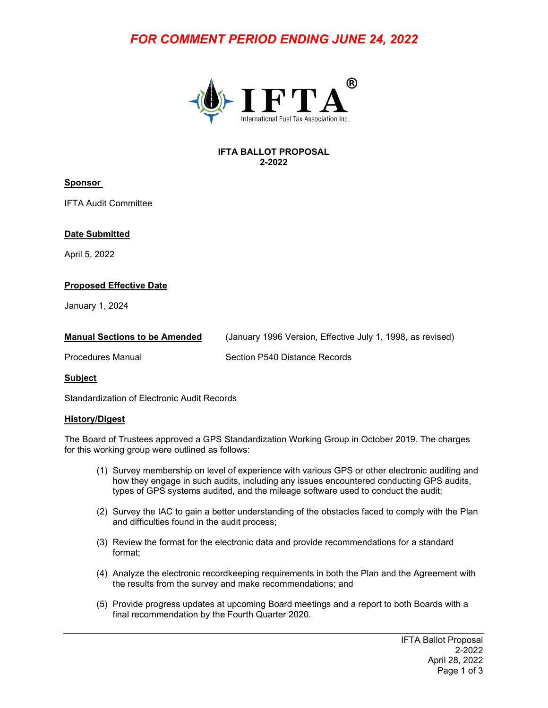# *FOR COMMENT PERIOD ENDING JUNE 24, 2022*



#### **IFTA BALLOT PROPOSAL 2-2022**

# **Sponsor**

IFTA Audit Committee

#### **Date Submitted**

April 5, 2022

# **Proposed Effective Date**

January 1, 2024

| <b>Manual Sections to be Amended</b> | (January 1996 Version, Effective July 1, 1998, as revised) |
|--------------------------------------|------------------------------------------------------------|
| <b>Procedures Manual</b>             | Section P540 Distance Records                              |

**Subject**

Standardization of Electronic Audit Records

#### **History/Digest**

The Board of Trustees approved a GPS Standardization Working Group in October 2019. The charges for this working group were outlined as follows:

- (1) Survey membership on level of experience with various GPS or other electronic auditing and how they engage in such audits, including any issues encountered conducting GPS audits, types of GPS systems audited, and the mileage software used to conduct the audit;
- (2) Survey the IAC to gain a better understanding of the obstacles faced to comply with the Plan and difficulties found in the audit process;
- (3) Review the format for the electronic data and provide recommendations for a standard format;
- (4) Analyze the electronic recordkeeping requirements in both the Plan and the Agreement with the results from the survey and make recommendations; and
- (5) Provide progress updates at upcoming Board meetings and a report to both Boards with a final recommendation by the Fourth Quarter 2020.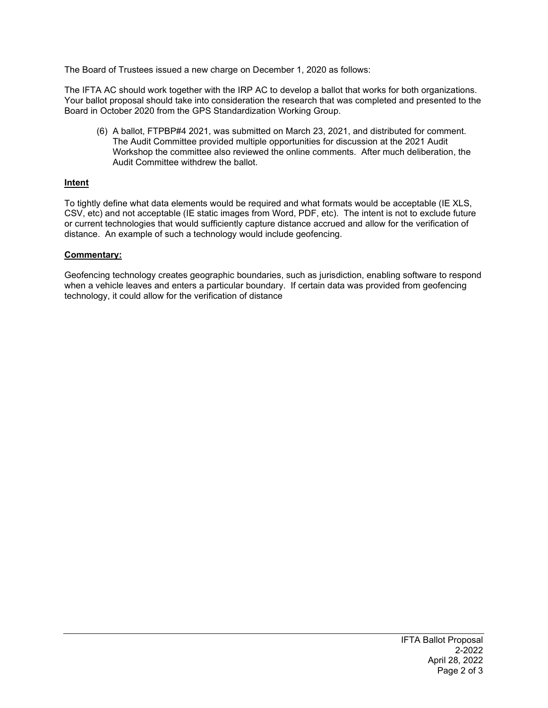The Board of Trustees issued a new charge on December 1, 2020 as follows:

The IFTA AC should work together with the IRP AC to develop a ballot that works for both organizations. Your ballot proposal should take into consideration the research that was completed and presented to the Board in October 2020 from the GPS Standardization Working Group.

(6) A ballot, FTPBP#4 2021, was submitted on March 23, 2021, and distributed for comment. The Audit Committee provided multiple opportunities for discussion at the 2021 Audit Workshop the committee also reviewed the online comments. After much deliberation, the Audit Committee withdrew the ballot.

# **Intent**

To tightly define what data elements would be required and what formats would be acceptable (IE XLS, CSV, etc) and not acceptable (IE static images from Word, PDF, etc). The intent is not to exclude future or current technologies that would sufficiently capture distance accrued and allow for the verification of distance. An example of such a technology would include geofencing.

#### **Commentary:**

Geofencing technology creates geographic boundaries, such as jurisdiction, enabling software to respond when a vehicle leaves and enters a particular boundary. If certain data was provided from geofencing technology, it could allow for the verification of distance